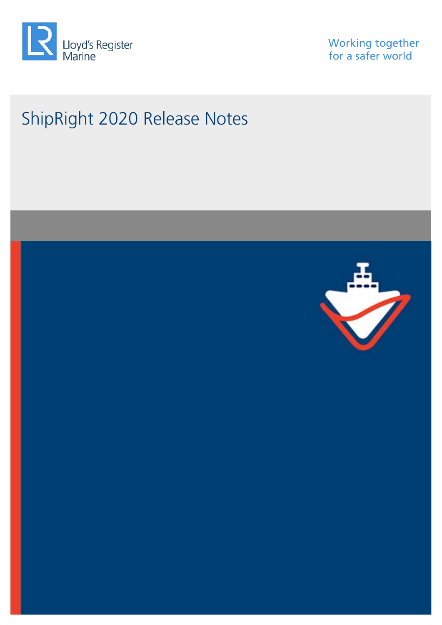

Working together for a safer world

# ShipRight 2020 Release Notes

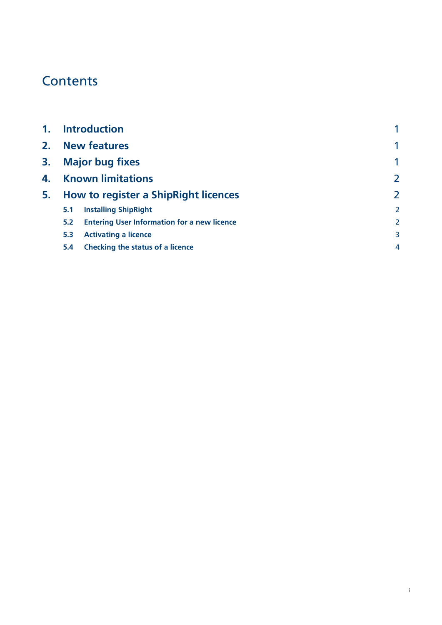## **Contents**

|     |                                                    | 1                                                                                                                                               |
|-----|----------------------------------------------------|-------------------------------------------------------------------------------------------------------------------------------------------------|
|     |                                                    | $\overline{2}$                                                                                                                                  |
|     |                                                    | $\overline{2}$                                                                                                                                  |
| 5.1 | <b>Installing ShipRight</b>                        | 2                                                                                                                                               |
| 5.2 | <b>Entering User Information for a new licence</b> | 2                                                                                                                                               |
| 5.3 | <b>Activating a licence</b>                        | 3                                                                                                                                               |
| 5.4 | Checking the status of a licence                   | 4                                                                                                                                               |
|     |                                                    | <b>Introduction</b><br><b>New features</b><br><b>Major bug fixes</b><br><b>Known limitations</b><br><b>How to register a ShipRight licences</b> |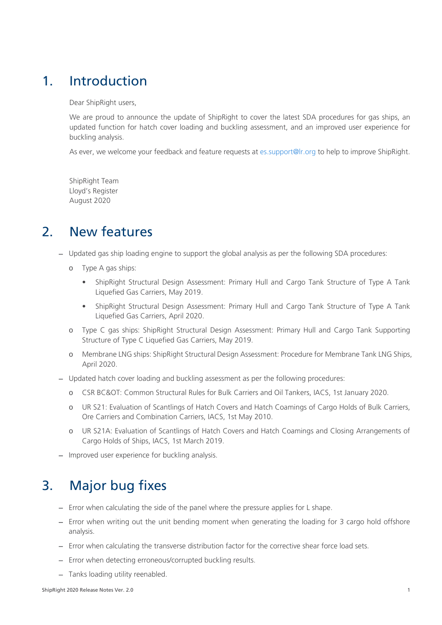### <span id="page-4-0"></span>1. Introduction

Dear ShipRight users,

We are proud to announce the update of ShipRight to cover the latest SDA procedures for gas ships, an updated function for hatch cover loading and buckling assessment, and an improved user experience for buckling analysis.

As ever, we welcome your feedback and feature requests at [es.support@lr.org](mailto:es.support@lr.org) to help to improve ShipRight.

ShipRight Team Lloyd's Register August 2020

### <span id="page-4-1"></span>2. New features

− Updated gas ship loading engine to support the global analysis as per the following SDA procedures:

- o Type A gas ships:
	- ShipRight Structural Design Assessment: Primary Hull and Cargo Tank Structure of Type A Tank Liquefied Gas Carriers, May 2019.
	- ShipRight Structural Design Assessment: Primary Hull and Cargo Tank Structure of Type A Tank Liquefied Gas Carriers, April 2020.
- o Type C gas ships: ShipRight Structural Design Assessment: Primary Hull and Cargo Tank Supporting Structure of Type C Liquefied Gas Carriers, May 2019.
- o Membrane LNG ships: ShipRight Structural Design Assessment: Procedure for Membrane Tank LNG Ships, April 2020.
- − Updated hatch cover loading and buckling assessment as per the following procedures:
	- o CSR BC&OT: Common Structural Rules for Bulk Carriers and Oil Tankers, IACS, 1st January 2020.
	- o UR S21: Evaluation of Scantlings of Hatch Covers and Hatch Coamings of Cargo Holds of Bulk Carriers, Ore Carriers and Combination Carriers, IACS, 1st May 2010.
	- UR S21A: Evaluation of Scantlings of Hatch Covers and Hatch Coamings and Closing Arrangements of Cargo Holds of Ships, IACS, 1st March 2019.
- − Improved user experience for buckling analysis.

### <span id="page-4-2"></span>3. Major bug fixes

- − Error when calculating the side of the panel where the pressure applies for L shape.
- − Error when writing out the unit bending moment when generating the loading for 3 cargo hold offshore analysis.
- − Error when calculating the transverse distribution factor for the corrective shear force load sets.
- − Error when detecting erroneous/corrupted buckling results.
- − Tanks loading utility reenabled.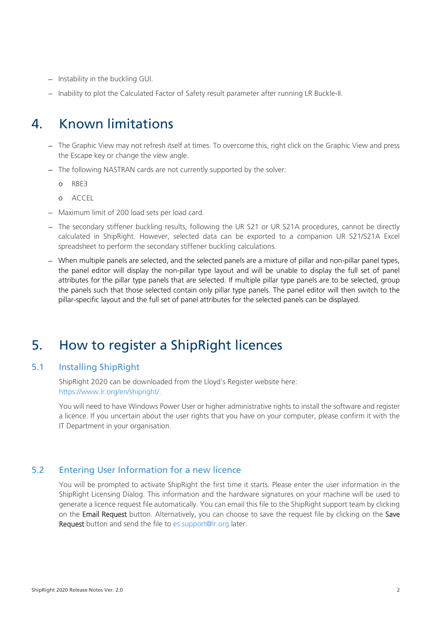- − Instability in the buckling GUI.
- − Inability to plot the Calculated Factor of Safety result parameter after running LR Buckle-II.

### <span id="page-5-0"></span>4. Known limitations

- − The Graphic View may not refresh itself at times. To overcome this, right click on the Graphic View and press the Escape key or change the view angle.
- − The following NASTRAN cards are not currently supported by the solver:
	- o RBE3
	- o ACCEL
- − Maximum limit of 200 load sets per load card.
- − The secondary stiffener buckling results, following the UR S21 or UR S21A procedures, cannot be directly calculated in ShipRight. However, selected data can be exported to a companion UR S21/S21A Excel spreadsheet to perform the secondary stiffener buckling calculations.
- − When multiple panels are selected, and the selected panels are a mixture of pillar and non-pillar panel types, the panel editor will display the non-pillar type layout and will be unable to display the full set of panel attributes for the pillar type panels that are selected. If multiple pillar type panels are to be selected, group the panels such that those selected contain only pillar type panels. The panel editor will then switch to the pillar-specific layout and the full set of panel attributes for the selected panels can be displayed.

### <span id="page-5-1"></span>5. How to register a ShipRight licences

#### <span id="page-5-2"></span>5.1 Installing ShipRight

ShipRight 2020 can be downloaded from the Lloyd's Register website here: [https://www.lr.org/en/shipright/.](https://www.lr.org/en/shipright/)

You will need to have Windows Power User or higher administrative rights to install the software and register a licence. If you uncertain about the user rights that you have on your computer, please confirm it with the IT Department in your organisation.

#### <span id="page-5-3"></span>5.2 Entering User Information for a new licence

You will be prompted to activate ShipRight the first time it starts. Please enter the user information in the ShipRight Licensing Dialog. This information and the hardware signatures on your machine will be used to generate a licence request file automatically. You can email this file to the ShipRight support team by clicking on the Email Request button. Alternatively, you can choose to save the request file by clicking on the Save Request button and send the file to [es.support@lr.org](mailto:es.support@lr.org) later.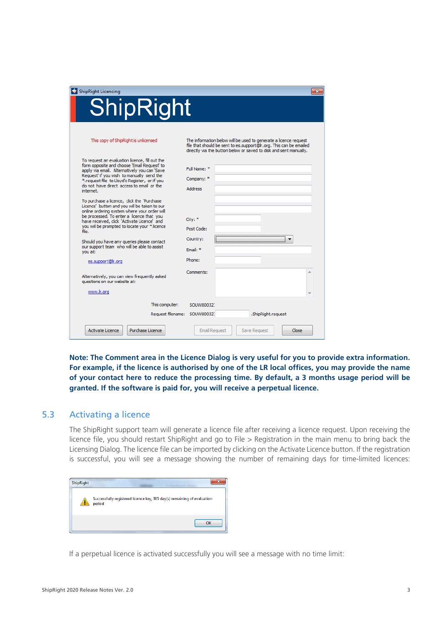| ShipRight Licencing                                                                                                                                                                                                                                                                                   | $\mathbf{x}$                                                                                                                                                                                                |
|-------------------------------------------------------------------------------------------------------------------------------------------------------------------------------------------------------------------------------------------------------------------------------------------------------|-------------------------------------------------------------------------------------------------------------------------------------------------------------------------------------------------------------|
| <b>ShipRight</b>                                                                                                                                                                                                                                                                                      |                                                                                                                                                                                                             |
| This copy of ShipRight is unlicensed                                                                                                                                                                                                                                                                  | The information below will be used to generate a licence request<br>file that should be sent to es.support@Ir.org. This can be emailed<br>directly via the button below or saved to disk and sent manually. |
| To request an evaluation licence, fill out the<br>form opposite and choose 'Email Request' to<br>apply via email. Alternatively you can 'Save<br>Request' if you wish to manually send the<br>*.request file to Lloyd's Register, or if you<br>do not have direct access to email or the<br>internet. | Full Name: *<br>Company: *<br><b>Address</b>                                                                                                                                                                |
| To purchase a licence, click the 'Purchase'<br>Licence' button and you will be taken to our<br>online ordering system where your order will<br>be processed. To enter a licence that you<br>have received, dick 'Activate Licence' and<br>you will be prompted to locate your *.licence<br>file.      | City: *<br>Post Code:                                                                                                                                                                                       |
| Should you have any queries please contact<br>our support team who will be able to assist<br>vou at:                                                                                                                                                                                                  | Country:<br>Fmail: *                                                                                                                                                                                        |
| es.support@lr.org<br>Alternatively, you can view frequently asked<br>questions on our website at:                                                                                                                                                                                                     | Phone:<br>Comments:                                                                                                                                                                                         |
| www.lr.org                                                                                                                                                                                                                                                                                            |                                                                                                                                                                                                             |
| This computer:                                                                                                                                                                                                                                                                                        | SOLIW800321                                                                                                                                                                                                 |
| Request filename: SOUW80032.                                                                                                                                                                                                                                                                          | .ShipRight.request                                                                                                                                                                                          |
| Activate Licence<br>Purchase Licence                                                                                                                                                                                                                                                                  | <b>Email Request</b><br>Save Request<br>Close                                                                                                                                                               |

**Note: The Comment area in the Licence Dialog is very useful for you to provide extra information. For example, if the licence is authorised by one of the LR local offices, you may provide the name of your contact here to reduce the processing time. By default, a 3 months usage period will be granted. If the software is paid for, you will receive a perpetual licence.**

#### <span id="page-6-0"></span>5.3 Activating a licence

The ShipRight support team will generate a licence file after receiving a licence request. Upon receiving the licence file, you should restart ShipRight and go to File > Registration in the main menu to bring back the Licensing Dialog. The licence file can be imported by clicking on the Activate Licence button. If the registration is successful, you will see a message showing the number of remaining days for time-limited licences:



If a perpetual licence is activated successfully you will see a message with no time limit: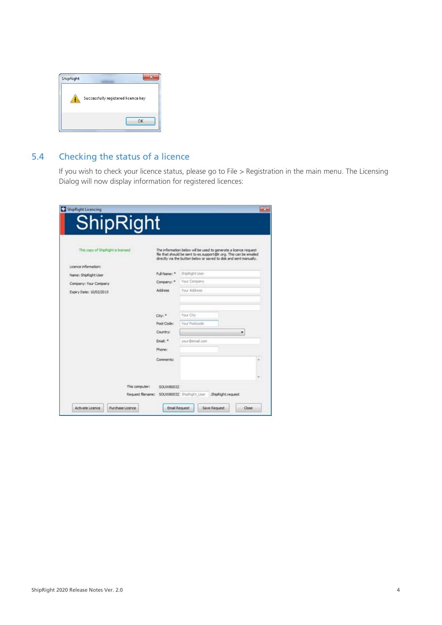| ShipRight |                                     |
|-----------|-------------------------------------|
|           | Successfully registered licence key |
|           | OK                                  |

#### <span id="page-7-0"></span>5.4 Checking the status of a licence

If you wish to check your licence status, please go to File > Registration in the main menu. The Licensing Dialog will now display information for registered licences:

| This copy of ShipRight is licensed |              | The information below will be used to generate a licence request<br>file that should be sent to es.support@ir.org. This can be emailed<br>drectly via the button below or saved to disk and sent manually. |   |  |
|------------------------------------|--------------|------------------------------------------------------------------------------------------------------------------------------------------------------------------------------------------------------------|---|--|
| Licence information:               |              |                                                                                                                                                                                                            |   |  |
| Name: ShipRight User               | Full Name: * | ShipRight User                                                                                                                                                                                             |   |  |
| Company: Your Company              | Company: *   | Your Company                                                                                                                                                                                               |   |  |
| Expiry Date: 10/02/2015            | Address      | Your Address                                                                                                                                                                                               |   |  |
|                                    | City: *      | <b>Tour City</b>                                                                                                                                                                                           |   |  |
|                                    | Post Code:   | Your Postmole                                                                                                                                                                                              |   |  |
|                                    | Country:     |                                                                                                                                                                                                            | ٠ |  |
|                                    | Email: *     | your Bemall.com                                                                                                                                                                                            |   |  |
|                                    | Phone:       |                                                                                                                                                                                                            |   |  |
|                                    | Comments:    |                                                                                                                                                                                                            |   |  |
|                                    |              |                                                                                                                                                                                                            |   |  |